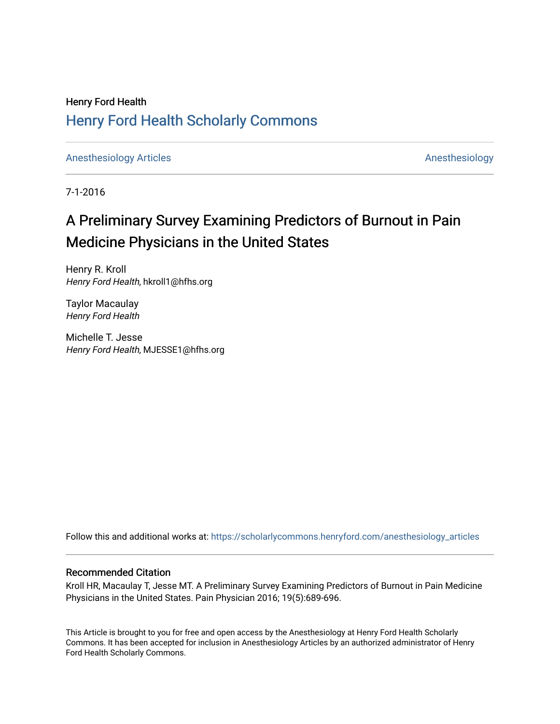## Henry Ford Health [Henry Ford Health Scholarly Commons](https://scholarlycommons.henryford.com/)

[Anesthesiology Articles](https://scholarlycommons.henryford.com/anesthesiology_articles) [Anesthesiology](https://scholarlycommons.henryford.com/anesthesiology) Articles

7-1-2016

# A Preliminary Survey Examining Predictors of Burnout in Pain Medicine Physicians in the United States

Henry R. Kroll Henry Ford Health, hkroll1@hfhs.org

Taylor Macaulay Henry Ford Health

Michelle T. Jesse Henry Ford Health, MJESSE1@hfhs.org

Follow this and additional works at: [https://scholarlycommons.henryford.com/anesthesiology\\_articles](https://scholarlycommons.henryford.com/anesthesiology_articles?utm_source=scholarlycommons.henryford.com%2Fanesthesiology_articles%2F124&utm_medium=PDF&utm_campaign=PDFCoverPages)

### Recommended Citation

Kroll HR, Macaulay T, Jesse MT. A Preliminary Survey Examining Predictors of Burnout in Pain Medicine Physicians in the United States. Pain Physician 2016; 19(5):689-696.

This Article is brought to you for free and open access by the Anesthesiology at Henry Ford Health Scholarly Commons. It has been accepted for inclusion in Anesthesiology Articles by an authorized administrator of Henry Ford Health Scholarly Commons.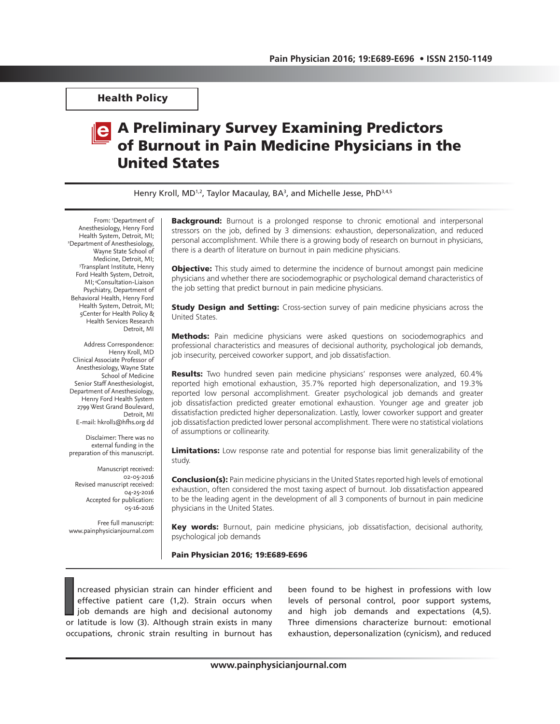Health Policy

# A Preliminary Survey Examining Predictors of Burnout in Pain Medicine Physicians in the United States

Henry Kroll, MD<sup>1,2</sup>, Taylor Macaulay, BA<sup>3</sup>, and Michelle Jesse, PhD<sup>3,4,5</sup>

From: <sup>1</sup>Department of Anesthesiology, Henry Ford Health System, Detroit, MI; 2 Department of Anesthesiology, Wayne State School of Medicine, Detroit, MI; 3 Transplant Institute, Henry Ford Health System, Detroit, MI; 4Consultation-Liaison Psychiatry, Department of Behavioral Health, Henry Ford Health System, Detroit, MI; 5Center for Health Policy & Health Services Research Detroit, MI

Address Correspondence: Henry Kroll, MD Clinical Associate Professor of Anesthesiology, Wayne State School of Medicine Senior Staff Anesthesiologist, Department of Anesthesiology, Henry Ford Health System 2799 West Grand Boulevard, Detroit, MI E-mail: hkroll1@hfhs.org dd

Disclaimer: There was no external funding in the preparation of this manuscript.

Manuscript received: 02-05-2016 Revised manuscript received: 04-25-2016 Accepted for publication: 05-16-2016

Free full manuscript: www.painphysicianjournal.com **Background:** Burnout is a prolonged response to chronic emotional and interpersonal stressors on the job, defined by 3 dimensions: exhaustion, depersonalization, and reduced personal accomplishment. While there is a growing body of research on burnout in physicians, there is a dearth of literature on burnout in pain medicine physicians.

**Objective:** This study aimed to determine the incidence of burnout amongst pain medicine physicians and whether there are sociodemographic or psychological demand characteristics of the job setting that predict burnout in pain medicine physicians.

**Study Design and Setting:** Cross-section survey of pain medicine physicians across the United States.

Methods: Pain medicine physicians were asked questions on sociodemographics and professional characteristics and measures of decisional authority, psychological job demands, job insecurity, perceived coworker support, and job dissatisfaction.

**Results:** Two hundred seven pain medicine physicians' responses were analyzed, 60.4% reported high emotional exhaustion, 35.7% reported high depersonalization, and 19.3% reported low personal accomplishment. Greater psychological job demands and greater job dissatisfaction predicted greater emotional exhaustion. Younger age and greater job dissatisfaction predicted higher depersonalization. Lastly, lower coworker support and greater job dissatisfaction predicted lower personal accomplishment. There were no statistical violations of assumptions or collinearity.

Limitations: Low response rate and potential for response bias limit generalizability of the study.

**Conclusion(s):** Pain medicine physicians in the United States reported high levels of emotional exhaustion, often considered the most taxing aspect of burnout. Job dissatisfaction appeared to be the leading agent in the development of all 3 components of burnout in pain medicine physicians in the United States.

Key words: Burnout, pain medicine physicians, job dissatisfaction, decisional authority, psychological job demands

Pain Physician 2016; 19:E689-E696

II
I
ncreased physician strain can hinder efficient and effective patient care (1,2). Strain occurs when job demands are high and decisional autonomy or latitude is low (3). Although strain exists in many ncreased physician strain can hinder efficient and effective patient care (1,2). Strain occurs when job demands are high and decisional autonomy occupations, chronic strain resulting in burnout has

been found to be highest in professions with low levels of personal control, poor support systems, and high job demands and expectations (4,5). Three dimensions characterize burnout: emotional exhaustion, depersonalization (cynicism), and reduced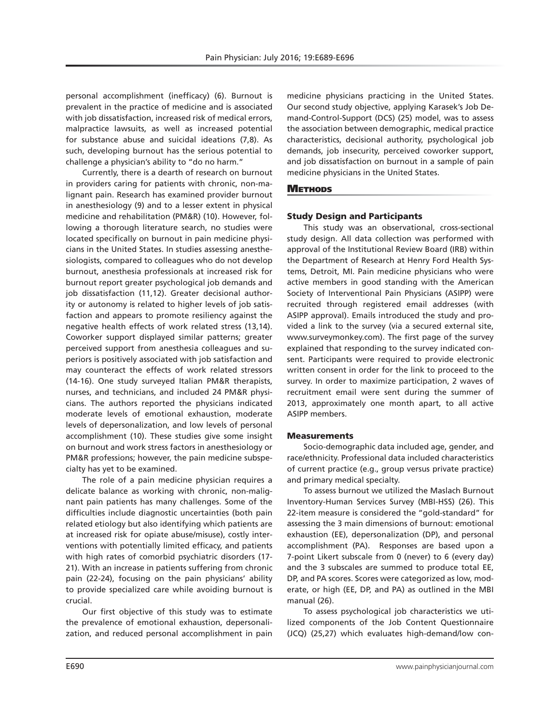personal accomplishment (inefficacy) (6). Burnout is prevalent in the practice of medicine and is associated with job dissatisfaction, increased risk of medical errors, malpractice lawsuits, as well as increased potential for substance abuse and suicidal ideations (7,8). As such, developing burnout has the serious potential to challenge a physician's ability to "do no harm."

Currently, there is a dearth of research on burnout in providers caring for patients with chronic, non-malignant pain. Research has examined provider burnout in anesthesiology (9) and to a lesser extent in physical medicine and rehabilitation (PM&R) (10). However, following a thorough literature search, no studies were located specifically on burnout in pain medicine physicians in the United States. In studies assessing anesthesiologists, compared to colleagues who do not develop burnout, anesthesia professionals at increased risk for burnout report greater psychological job demands and job dissatisfaction (11,12). Greater decisional authority or autonomy is related to higher levels of job satisfaction and appears to promote resiliency against the negative health effects of work related stress (13,14). Coworker support displayed similar patterns; greater perceived support from anesthesia colleagues and superiors is positively associated with job satisfaction and may counteract the effects of work related stressors (14-16). One study surveyed Italian PM&R therapists, nurses, and technicians, and included 24 PM&R physicians. The authors reported the physicians indicated moderate levels of emotional exhaustion, moderate levels of depersonalization, and low levels of personal accomplishment (10). These studies give some insight on burnout and work stress factors in anesthesiology or PM&R professions; however, the pain medicine subspecialty has yet to be examined.

The role of a pain medicine physician requires a delicate balance as working with chronic, non-malignant pain patients has many challenges. Some of the difficulties include diagnostic uncertainties (both pain related etiology but also identifying which patients are at increased risk for opiate abuse/misuse), costly interventions with potentially limited efficacy, and patients with high rates of comorbid psychiatric disorders (17- 21). With an increase in patients suffering from chronic pain (22-24), focusing on the pain physicians' ability to provide specialized care while avoiding burnout is crucial.

Our first objective of this study was to estimate the prevalence of emotional exhaustion, depersonalization, and reduced personal accomplishment in pain

medicine physicians practicing in the United States. Our second study objective, applying Karasek's Job Demand-Control-Support (DCS) (25) model, was to assess the association between demographic, medical practice characteristics, decisional authority, psychological job demands, job insecurity, perceived coworker support, and job dissatisfaction on burnout in a sample of pain medicine physicians in the United States.

### **METHODS**

#### Study Design and Participants

This study was an observational, cross-sectional study design. All data collection was performed with approval of the Institutional Review Board (IRB) within the Department of Research at Henry Ford Health Systems, Detroit, MI. Pain medicine physicians who were active members in good standing with the American Society of Interventional Pain Physicians (ASIPP) were recruited through registered email addresses (with ASIPP approval). Emails introduced the study and provided a link to the survey (via a secured external site, www.surveymonkey.com). The first page of the survey explained that responding to the survey indicated consent. Participants were required to provide electronic written consent in order for the link to proceed to the survey. In order to maximize participation, 2 waves of recruitment email were sent during the summer of 2013, approximately one month apart, to all active ASIPP members.

#### **Measurements**

Socio-demographic data included age, gender, and race/ethnicity. Professional data included characteristics of current practice (e.g., group versus private practice) and primary medical specialty.

To assess burnout we utilized the Maslach Burnout Inventory-Human Services Survey (MBI-HSS) (26). This 22-item measure is considered the "gold-standard" for assessing the 3 main dimensions of burnout: emotional exhaustion (EE), depersonalization (DP), and personal accomplishment (PA). Responses are based upon a 7-point Likert subscale from 0 (never) to 6 (every day) and the 3 subscales are summed to produce total EE, DP, and PA scores. Scores were categorized as low, moderate, or high (EE, DP, and PA) as outlined in the MBI manual (26).

To assess psychological job characteristics we utilized components of the Job Content Questionnaire (JCQ) (25,27) which evaluates high-demand/low con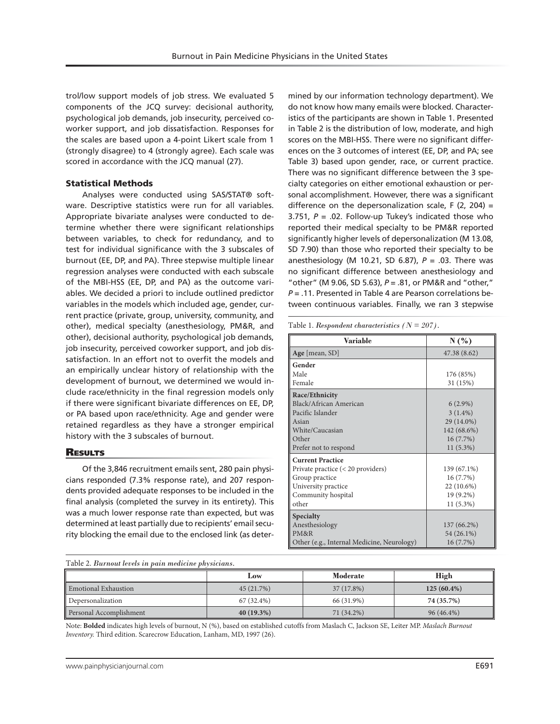trol/low support models of job stress. We evaluated 5 components of the JCQ survey: decisional authority, psychological job demands, job insecurity, perceived coworker support, and job dissatisfaction. Responses for the scales are based upon a 4-point Likert scale from 1 (strongly disagree) to 4 (strongly agree). Each scale was scored in accordance with the JCQ manual (27).

#### Statistical Methods

Analyses were conducted using SAS/STAT® software. Descriptive statistics were run for all variables. Appropriate bivariate analyses were conducted to determine whether there were significant relationships between variables, to check for redundancy, and to test for individual significance with the 3 subscales of burnout (EE, DP, and PA). Three stepwise multiple linear regression analyses were conducted with each subscale of the MBI-HSS (EE, DP, and PA) as the outcome variables. We decided a priori to include outlined predictor variables in the models which included age, gender, current practice (private, group, university, community, and other), medical specialty (anesthesiology, PM&R, and other), decisional authority, psychological job demands, job insecurity, perceived coworker support, and job dissatisfaction. In an effort not to overfit the models and an empirically unclear history of relationship with the development of burnout, we determined we would include race/ethnicity in the final regression models only if there were significant bivariate differences on EE, DP, or PA based upon race/ethnicity. Age and gender were retained regardless as they have a stronger empirical history with the 3 subscales of burnout.

#### **RESULTS**

Of the 3,846 recruitment emails sent, 280 pain physicians responded (7.3% response rate), and 207 respondents provided adequate responses to be included in the final analysis (completed the survey in its entirety). This was a much lower response rate than expected, but was determined at least partially due to recipients' email security blocking the email due to the enclosed link (as determined by our information technology department). We do not know how many emails were blocked. Characteristics of the participants are shown in Table 1. Presented in Table 2 is the distribution of low, moderate, and high scores on the MBI-HSS. There were no significant differences on the 3 outcomes of interest (EE, DP, and PA; see Table 3) based upon gender, race, or current practice. There was no significant difference between the 3 specialty categories on either emotional exhaustion or personal accomplishment. However, there was a significant difference on the depersonalization scale,  $F(2, 204) =$ 3.751,  $P = 0.02$ . Follow-up Tukey's indicated those who reported their medical specialty to be PM&R reported significantly higher levels of depersonalization (M 13.08, SD 7.90) than those who reported their specialty to be anesthesiology (M 10.21, SD 6.87), *P* = .03. There was no significant difference between anesthesiology and "other" (M 9.06, SD 5.63), *P* = .81, or PM&R and "other," *P* = .11. Presented in Table 4 are Pearson correlations between continuous variables. Finally, we ran 3 stepwise

Table 1. *Respondent characteristics (N = 207).*

| Variable                                   | N(%          |
|--------------------------------------------|--------------|
| Age [mean, $SD$ ]                          | 47.38 (8.62) |
| Gender                                     |              |
| Male                                       | 176 (85%)    |
| Female                                     | 31 (15%)     |
| Race/Ethnicity                             |              |
| Black/African American                     | $6(2.9\%)$   |
| Pacific Islander                           | $3(1.4\%)$   |
| Asian                                      | 29 (14.0%)   |
| White/Caucasian                            | 142 (68.6%)  |
| Other                                      | 16(7.7%)     |
| Prefer not to respond                      | $11(5.3\%)$  |
| <b>Current Practice</b>                    |              |
| Private practice (< 20 providers)          | 139 (67.1%)  |
| Group practice                             | 16 (7.7%)    |
| University practice                        | 22 (10.6%)   |
| Community hospital                         | 19 (9.2%)    |
| other                                      | $11(5.3\%)$  |
| Specialty                                  |              |
| Anesthesiology                             | 137 (66.2%)  |
| PM&R                                       | 54 (26.1%)   |
| Other (e.g., Internal Medicine, Neurology) | 16(7.7%)     |

Table 2. *Burnout levels in pain medicine physicians.* 

|                         | Moderate<br>Low |            | High          |
|-------------------------|-----------------|------------|---------------|
| Emotional Exhaustion    | 45 (21.7%)      | 37(17.8%)  | $125(60.4\%)$ |
| Depersonalization       | 67 (32.4%)      | 66 (31.9%) | 74 (35.7%)    |
| Personal Accomplishment | $40(19.3\%)$    | 71 (34.2%) | 96 (46.4%)    |

Note: **Bolded** indicates high levels of burnout, N (%), based on established cutoffs from Maslach C, Jackson SE, Leiter MP. *Maslach Burnout Inventory.* Third edition. Scarecrow Education, Lanham, MD, 1997 (26).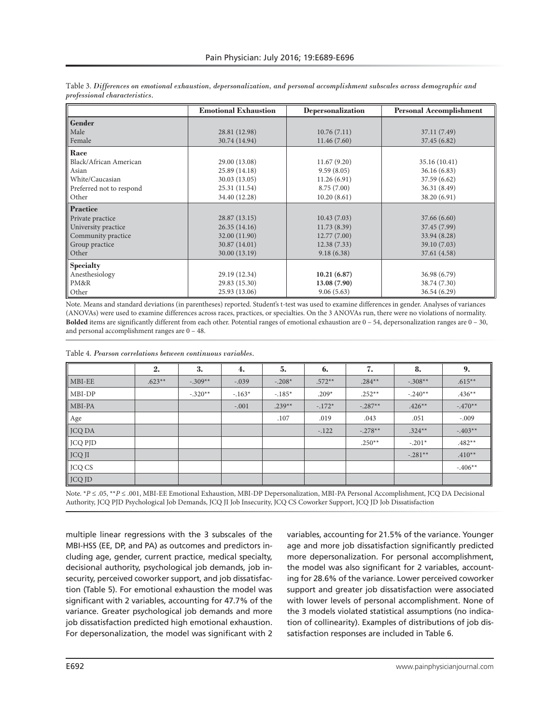|                          | <b>Emotional Exhaustion</b> | <b>Depersonalization</b> | <b>Personal Accomplishment</b> |
|--------------------------|-----------------------------|--------------------------|--------------------------------|
| <b>Gender</b>            |                             |                          |                                |
| Male                     | 28.81 (12.98)               | 10.76(7.11)              | 37.11 (7.49)                   |
| Female                   | 30.74 (14.94)               | 11.46(7.60)              | 37.45 (6.82)                   |
| Race                     |                             |                          |                                |
| Black/African American   | 29.00 (13.08)               | 11.67(9.20)              | 35.16 (10.41)                  |
| Asian                    | 25.89 (14.18)               | 9.59(8.05)               | 36.16(6.83)                    |
| White/Caucasian          | 30.03 (13.05)               | 11.26(6.91)              | 37.59 (6.62)                   |
| Preferred not to respond | 25.31 (11.54)               | 8.75(7.00)               | 36.31 (8.49)                   |
| Other                    | 34.40 (12.28)               | 10.20(8.61)              | 38.20 (6.91)                   |
| <b>Practice</b>          |                             |                          |                                |
| Private practice         | 28.87 (13.15)               | 10.43(7.03)              | 37.66 (6.60)                   |
| University practice      | 26.35(14.16)                | 11.73(8.39)              | 37.45 (7.99)                   |
| Community practice       | 32.00 (11.90)               | 12.77(7.00)              | 33.94 (8.28)                   |
| Group practice           | 30.87 (14.01)               | 12.38(7.33)              | 39.10 (7.03)                   |
| Other                    | 30.00 (13.19)               | 9.18(6.38)               | 37.61 (4.58)                   |
| <b>Specialty</b>         |                             |                          |                                |
| Anesthesiology           | 29.19 (12.34)               | 10.21(6.87)              | 36.98 (6.79)                   |
| PM&R                     | 29.83 (15.30)               | 13.08 (7.90)             | 38.74 (7.30)                   |
| Other                    | 25.93 (13.06)               | 9.06(5.63)               | 36.54 (6.29)                   |

Table 3. *Differences on emotional exhaustion, depersonalization, and personal accomplishment subscales across demographic and professional characteristics.* 

Note. Means and standard deviations (in parentheses) reported. Student's t-test was used to examine differences in gender. Analyses of variances (ANOVAs) were used to examine differences across races, practices, or specialties. On the 3 ANOVAs run, there were no violations of normality. **Bolded** items are significantly different from each other. Potential ranges of emotional exhaustion are 0 – 54, depersonalization ranges are 0 – 30, and personal accomplishment ranges are 0 – 48.

Table 4. *Pearson correlations between continuous variables.* 

|                    | 2.       | 3.        | 4.       | 5.       | 6.       | 7.        | 8.        | 9.        |
|--------------------|----------|-----------|----------|----------|----------|-----------|-----------|-----------|
| $\parallel$ MBI-EE | $.623**$ | $-.309**$ | $-.039$  | $-.208*$ | $.572**$ | $.284**$  | $-.308**$ | $.615**$  |
| $\parallel$ MBI-DP |          | $-.320**$ | $-.163*$ | $-.185*$ | $.209*$  | $.252**$  | $-.240**$ | $.436**$  |
| $\parallel$ MBI-PA |          |           | $-.001$  | $.239**$ | $-.172*$ | $-.287**$ | $.426**$  | $-.470**$ |
| Age                |          |           |          | .107     | .019     | .043      | .051      | $-.009$   |
| JCQ DA             |          |           |          |          | $-.122$  | $-.278**$ | $.324**$  | $-403**$  |
| <b>JCQ PJD</b>     |          |           |          |          |          | $.250**$  | $-.201*$  | $.482**$  |
| $\parallel$ JCQ JI |          |           |          |          |          |           | $-.281**$ | $.410**$  |
| $\vert$ JCQ CS     |          |           |          |          |          |           |           | $-.406**$ |
| JCQ JD             |          |           |          |          |          |           |           |           |

Note. \**P* ≤ .05, \*\**P* ≤ .001, MBI-EE Emotional Exhaustion, MBI-DP Depersonalization, MBI-PA Personal Accomplishment, JCQ DA Decisional Authority, JCQ PJD Psychological Job Demands, JCQ JI Job Insecurity, JCQ CS Coworker Support, JCQ JD Job Dissatisfaction

multiple linear regressions with the 3 subscales of the MBI-HSS (EE, DP, and PA) as outcomes and predictors including age, gender, current practice, medical specialty, decisional authority, psychological job demands, job insecurity, perceived coworker support, and job dissatisfaction (Table 5). For emotional exhaustion the model was significant with 2 variables, accounting for 47.7% of the variance. Greater psychological job demands and more job dissatisfaction predicted high emotional exhaustion. For depersonalization, the model was significant with 2

variables, accounting for 21.5% of the variance. Younger age and more job dissatisfaction significantly predicted more depersonalization. For personal accomplishment, the model was also significant for 2 variables, accounting for 28.6% of the variance. Lower perceived coworker support and greater job dissatisfaction were associated with lower levels of personal accomplishment. None of the 3 models violated statistical assumptions (no indication of collinearity). Examples of distributions of job dissatisfaction responses are included in Table 6.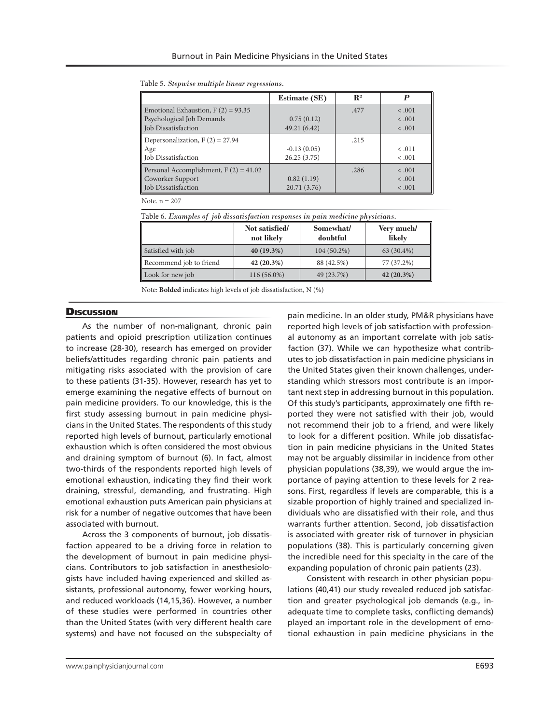|                                         | <b>Estimate (SE)</b> | $\mathbf{R}^2$ |         |
|-----------------------------------------|----------------------|----------------|---------|
| Emotional Exhaustion, $F(2) = 93.35$    |                      | .477           | < .001  |
| <b>Psychological Job Demands</b>        | 0.75(0.12)           |                | < .001  |
| Job Dissatisfaction                     | 49.21 (6.42)         |                | < .001  |
| Depersonalization, $F(2) = 27.94$       |                      | .215           |         |
| Age                                     | $-0.13(0.05)$        |                | < .011  |
| lob Dissatisfaction                     | 26.25(3.75)          |                | < .001  |
| Personal Accomplishment, $F(2) = 41.02$ |                      | .286           | $-.001$ |
| Coworker Support                        | 0.82(1.19)           |                | < .001  |
| Job Dissatisfaction                     | $-20.71(3.76)$       |                | < .001  |

Table 5. *Stepwise multiple linear regressions.*

Note. n = 207

Table 6. *Examples of job dissatisfaction responses in pain medicine physicians.*

|                         | Not satisfied/<br>not likely | Somewhat/<br>doubtful | Very much/<br>likely |
|-------------------------|------------------------------|-----------------------|----------------------|
| Satisfied with job      | 40 (19.3%)                   | $104(50.2\%)$         | 63 (30.4%)           |
| Recommend job to friend | 42 (20.3%)                   | 88 (42.5%)            | 77 (37.2%)           |
| Look for new job        | 116 (56.0%)                  | 49 (23.7%)            | $42(20.3\%)$         |

Note: **Bolded** indicates high levels of job dissatisfaction, N (%)

#### **Discussion**

As the number of non-malignant, chronic pain patients and opioid prescription utilization continues to increase (28-30), research has emerged on provider beliefs/attitudes regarding chronic pain patients and mitigating risks associated with the provision of care to these patients (31-35). However, research has yet to emerge examining the negative effects of burnout on pain medicine providers. To our knowledge, this is the first study assessing burnout in pain medicine physicians in the United States. The respondents of this study reported high levels of burnout, particularly emotional exhaustion which is often considered the most obvious and draining symptom of burnout (6). In fact, almost two-thirds of the respondents reported high levels of emotional exhaustion, indicating they find their work draining, stressful, demanding, and frustrating. High emotional exhaustion puts American pain physicians at risk for a number of negative outcomes that have been associated with burnout.

Across the 3 components of burnout, job dissatisfaction appeared to be a driving force in relation to the development of burnout in pain medicine physicians. Contributors to job satisfaction in anesthesiologists have included having experienced and skilled assistants, professional autonomy, fewer working hours, and reduced workloads (14,15,36). However, a number of these studies were performed in countries other than the United States (with very different health care systems) and have not focused on the subspecialty of pain medicine. In an older study, PM&R physicians have reported high levels of job satisfaction with professional autonomy as an important correlate with job satisfaction (37). While we can hypothesize what contributes to job dissatisfaction in pain medicine physicians in the United States given their known challenges, understanding which stressors most contribute is an important next step in addressing burnout in this population. Of this study's participants, approximately one fifth reported they were not satisfied with their job, would not recommend their job to a friend, and were likely to look for a different position. While job dissatisfaction in pain medicine physicians in the United States may not be arguably dissimilar in incidence from other physician populations (38,39), we would argue the importance of paying attention to these levels for 2 reasons. First, regardless if levels are comparable, this is a sizable proportion of highly trained and specialized individuals who are dissatisfied with their role, and thus warrants further attention. Second, job dissatisfaction is associated with greater risk of turnover in physician populations (38). This is particularly concerning given the incredible need for this specialty in the care of the expanding population of chronic pain patients (23).

 Consistent with research in other physician populations (40,41) our study revealed reduced job satisfaction and greater psychological job demands (e.g., inadequate time to complete tasks, conflicting demands) played an important role in the development of emotional exhaustion in pain medicine physicians in the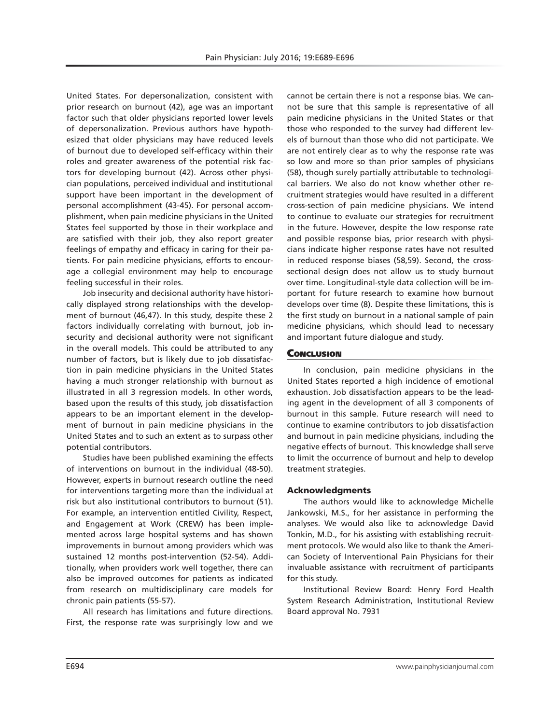United States. For depersonalization, consistent with prior research on burnout (42), age was an important factor such that older physicians reported lower levels of depersonalization. Previous authors have hypothesized that older physicians may have reduced levels of burnout due to developed self-efficacy within their roles and greater awareness of the potential risk factors for developing burnout (42). Across other physician populations, perceived individual and institutional support have been important in the development of personal accomplishment (43-45). For personal accomplishment, when pain medicine physicians in the United States feel supported by those in their workplace and are satisfied with their job, they also report greater feelings of empathy and efficacy in caring for their patients. For pain medicine physicians, efforts to encourage a collegial environment may help to encourage feeling successful in their roles.

Job insecurity and decisional authority have historically displayed strong relationships with the development of burnout (46,47). In this study, despite these 2 factors individually correlating with burnout, job insecurity and decisional authority were not significant in the overall models. This could be attributed to any number of factors, but is likely due to job dissatisfaction in pain medicine physicians in the United States having a much stronger relationship with burnout as illustrated in all 3 regression models. In other words, based upon the results of this study, job dissatisfaction appears to be an important element in the development of burnout in pain medicine physicians in the United States and to such an extent as to surpass other potential contributors.

Studies have been published examining the effects of interventions on burnout in the individual (48-50). However, experts in burnout research outline the need for interventions targeting more than the individual at risk but also institutional contributors to burnout (51). For example, an intervention entitled Civility, Respect, and Engagement at Work (CREW) has been implemented across large hospital systems and has shown improvements in burnout among providers which was sustained 12 months post-intervention (52-54). Additionally, when providers work well together, there can also be improved outcomes for patients as indicated from research on multidisciplinary care models for chronic pain patients (55-57).

All research has limitations and future directions. First, the response rate was surprisingly low and we

cannot be certain there is not a response bias. We cannot be sure that this sample is representative of all pain medicine physicians in the United States or that those who responded to the survey had different levels of burnout than those who did not participate. We are not entirely clear as to why the response rate was so low and more so than prior samples of physicians (58), though surely partially attributable to technological barriers. We also do not know whether other recruitment strategies would have resulted in a different cross-section of pain medicine physicians. We intend to continue to evaluate our strategies for recruitment in the future. However, despite the low response rate and possible response bias, prior research with physicians indicate higher response rates have not resulted in reduced response biases (58,59). Second, the crosssectional design does not allow us to study burnout over time. Longitudinal-style data collection will be important for future research to examine how burnout develops over time (8). Despite these limitations, this is the first study on burnout in a national sample of pain medicine physicians, which should lead to necessary and important future dialogue and study.

#### **CONCLUSION**

In conclusion, pain medicine physicians in the United States reported a high incidence of emotional exhaustion. Job dissatisfaction appears to be the leading agent in the development of all 3 components of burnout in this sample. Future research will need to continue to examine contributors to job dissatisfaction and burnout in pain medicine physicians, including the negative effects of burnout. This knowledge shall serve to limit the occurrence of burnout and help to develop treatment strategies.

#### Acknowledgments

The authors would like to acknowledge Michelle Jankowski, M.S., for her assistance in performing the analyses. We would also like to acknowledge David Tonkin, M.D., for his assisting with establishing recruitment protocols. We would also like to thank the American Society of Interventional Pain Physicians for their invaluable assistance with recruitment of participants for this study.

Institutional Review Board: Henry Ford Health System Research Administration, Institutional Review Board approval No. 7931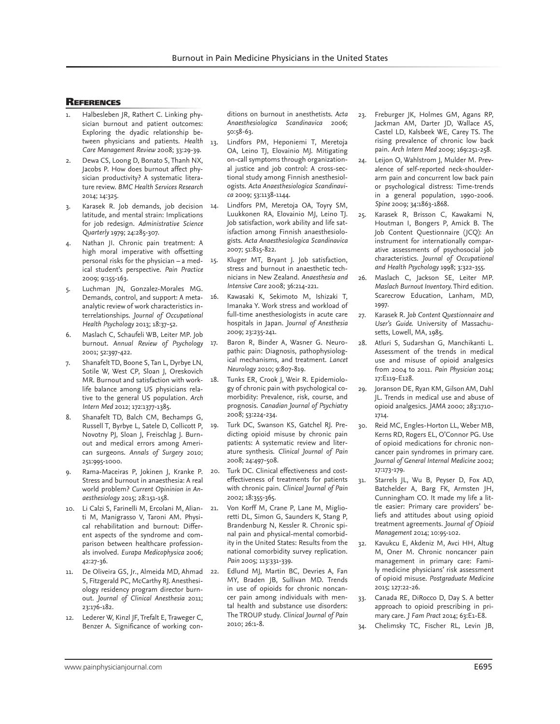#### **REFERENCES**

- Halbesleben JR, Rathert C. Linking physician burnout and patient outcomes: Exploring the dyadic relationship between physicians and patients. *Health Care Management Review* 2008; 33:29-39.
- Dewa CS, Loong D, Bonato S, Thanh NX, Jacobs P. How does burnout affect physician productivity? A systematic literature review. *BMC Health Services Research*  2014; 14:325.
- Karasek R. Job demands, job decision 14. latitude, and mental strain: Implications for job redesign. *Administrative Science Quarterly* 1979; 24:285-307.
- Nathan JI. Chronic pain treatment: A high moral imperative with offsetting personal risks for the physician  $-$  a med-  $15$ . ical student's perspective. *Pain Practice*  2009; 9:155-163.
- 5. Luchman JN, Gonzalez-Morales MG. Demands, control, and support: A metaanalytic review of work characteristics interrelationships. *Journal of Occupational Health Psychology* 2013; 18:37-52.
- 6. Maslach C, Schaufeli WB, Leiter MP. Job burnout. *Annual Review of Psychology*  2001; 52:397-422.
- Shanafelt TD, Boone S, Tan L, Dyrbye LN, Sotile W, West CP, Sloan J, Oreskovich MR. Burnout and satisfaction with worklife balance among US physicians relative to the general US population. *Arch Intern Med* 2012; 172:1377-1385.
- 8. Shanafelt TD, Balch CM, Bechamps G, Russell T, Byrbye L, Satele D, Collicott P, 19. Novotny PJ, Sloan J, Freischlag J. Burnout and medical errors among American surgeons. *Annals of Surgery* 2010; 251:995-1000.
- 9. Rama-Maceiras P, Jokinen J, Kranke P. Stress and burnout in anaesthesia: A real world problem? *Current Opininion in Anaesthesiology* 2015; 28:151-158.
- 10. Li Calzi S, Farinelli M, Ercolani M, Alianti M, Manigrasso V, Taroni AM. Physical rehabilitation and burnout: Different aspects of the syndrome and comparison between healthcare professionals involved. *Eurapa Medicophysica* 2006; 42:27-36.
- 11. De Oliveira GS, Jr., Almeida MD, Ahmad 22. S, Fitzgerald PC, McCarthy RJ. Anesthesiology residency program director burnout. *Journal of Clinical Anesthesia* 2011; 23:176-182.
- 12. Lederer W, Kinzl JF, Trefalt E, Traweger C, Benzer A. Significance of working con-

ditions on burnout in anesthetists. *Acta Anaesthesiologica Scandinavica* 2006; 50:58-63.

- 13. Lindfors PM, Heponiemi T, Meretoja OA, Leino TJ, Elovainio MJ. Mitigating on-call symptoms through organizational justice and job control: A cross-sectional study among Finnish anesthesiologists. *Acta Anaesthesiologica Scandinavica* 2009; 53:1138-1144.
	- Lindfors PM, Meretoja OA, Toyry SM, Luukkonen RA, Elovainio MJ, Leino TJ. Job satisfaction, work ability and life satisfaction among Finnish anaesthesiologists. *Acta Anaesthesiologica Scandinavica*  2007; 51:815-822.
	- Kluger MT, Bryant J. Job satisfaction, stress and burnout in anaesthetic technicians in New Zealand. *Anaesthesia and Intensive Care* 2008; 36:214-221.
- 16. Kawasaki K, Sekimoto M, Ishizaki T, Imanaka Y. Work stress and workload of full-time anesthesiologists in acute care hospitals in Japan. *Journal of Anesthesia*  2009; 23:235-241.
	- Baron R, Binder A, Wasner G. Neuropathic pain: Diagnosis, pathophysiological mechanisms, and treatment. *Lancet Neurology* 2010; 9:807-819.
	- Tunks ER, Crook J, Weir R. Epidemiology of chronic pain with psychological comorbidity: Prevalence, risk, course, and prognosis. *Canadian Journal of Psychiatry*  2008; 53:224-234.
	- Turk DC, Swanson KS, Gatchel RJ. Predicting opioid misuse by chronic pain patients: A systematic review and literature synthesis. *Clinical Journal of Pain*  2008; 24:497-508.
- 20. Turk DC. Clinical effectiveness and costeffectiveness of treatments for patients with chronic pain. *Clinical Journal of Pain*  2002; 18:355-365.
	- Von Korff M, Crane P, Lane M, Miglioretti DL, Simon G, Saunders K, Stang P, Brandenburg N, Kessler R. Chronic spinal pain and physical-mental comorbidity in the United States: Results from the national comorbidity survey replication. *Pain* 2005; 113:331-339.
	- Edlund MJ, Martin BC, Devries A, Fan MY, Braden JB, Sullivan MD. Trends in use of opioids for chronic noncancer pain among individuals with mental health and substance use disorders: The TROUP study. *Clinical Journal of Pain*  2010; 26:1-8.
- 23. Freburger JK, Holmes GM, Agans RP, Jackman AM, Darter JD, Wallace AS, Castel LD, Kalsbeek WE, Carey TS. The rising prevalence of chronic low back pain. *Arch Intern Med* 2009; 169:251-258.
- 24. Leijon O, Wahlstrom J, Mulder M. Prevalence of self-reported neck-shoulderarm pain and concurrent low back pain or psychological distress: Time-trends in a general population, 1990-2006. *Spine* 2009; 34:1863-1868.
- 25. Karasek R, Brisson C, Kawakami N, Houtman I, Bongers P, Amick B. The Job Content Questionnaire (JCQ): An instrument for internationally comparative assessments of psychosocial job characteristics. *Journal of Occupational and Health Psychology* 1998; 3:322-355.
- 26. Maslach C, Jackson SE, Leiter MP. *Maslach Burnout Inventory.* Third edition. Scarecrow Education, Lanham, MD, 1997.
- 27. Karasek R. *Job Content Questionnaire and User's Guide.* University of Massachusetts, Lowell, MA, 1985.
- 28. Atluri S, Sudarshan G, Manchikanti L. Assessment of the trends in medical use and misuse of opioid analgesics from 2004 to 2011. *Pain Physician* 2014; 17:E119-E128.
- 29. Joranson DE, Ryan KM, Gilson AM, Dahl JL. Trends in medical use and abuse of opioid analgesics. *JAMA* 2000; 283:1710- 1714.
- 30. Reid MC, Engles-Horton LL, Weber MB, Kerns RD, Rogers EL, O'Connor PG. Use of opioid medications for chronic noncancer pain syndromes in primary care. *Journal of General Internal Medicine* 2002; 17:173-179.
- 31. Starrels JL, Wu B, Peyser D, Fox AD, Batchelder A, Barg FK, Armsten JH, Cunningham CO. It made my life a little easier: Primary care providers' beliefs and attitudes about using opioid treatment agreements. *Journal of Opioid Management* 2014; 10:95-102.
- 32. Kavukcu E, Akdeniz M, Avci HH, Altug M, Oner M. Chronic noncancer pain management in primary care: Family medicine physicians' risk assessment of opioid misuse. *Postgraduate Medicine*  2015; 127:22-26.
- 33. Canada RE, DiRocco D, Day S. A better approach to opioid prescribing in primary care. *J Fam Pract* 2014; 63:E1-E8.
- 34. Chelimsky TC, Fischer RL, Levin JB,